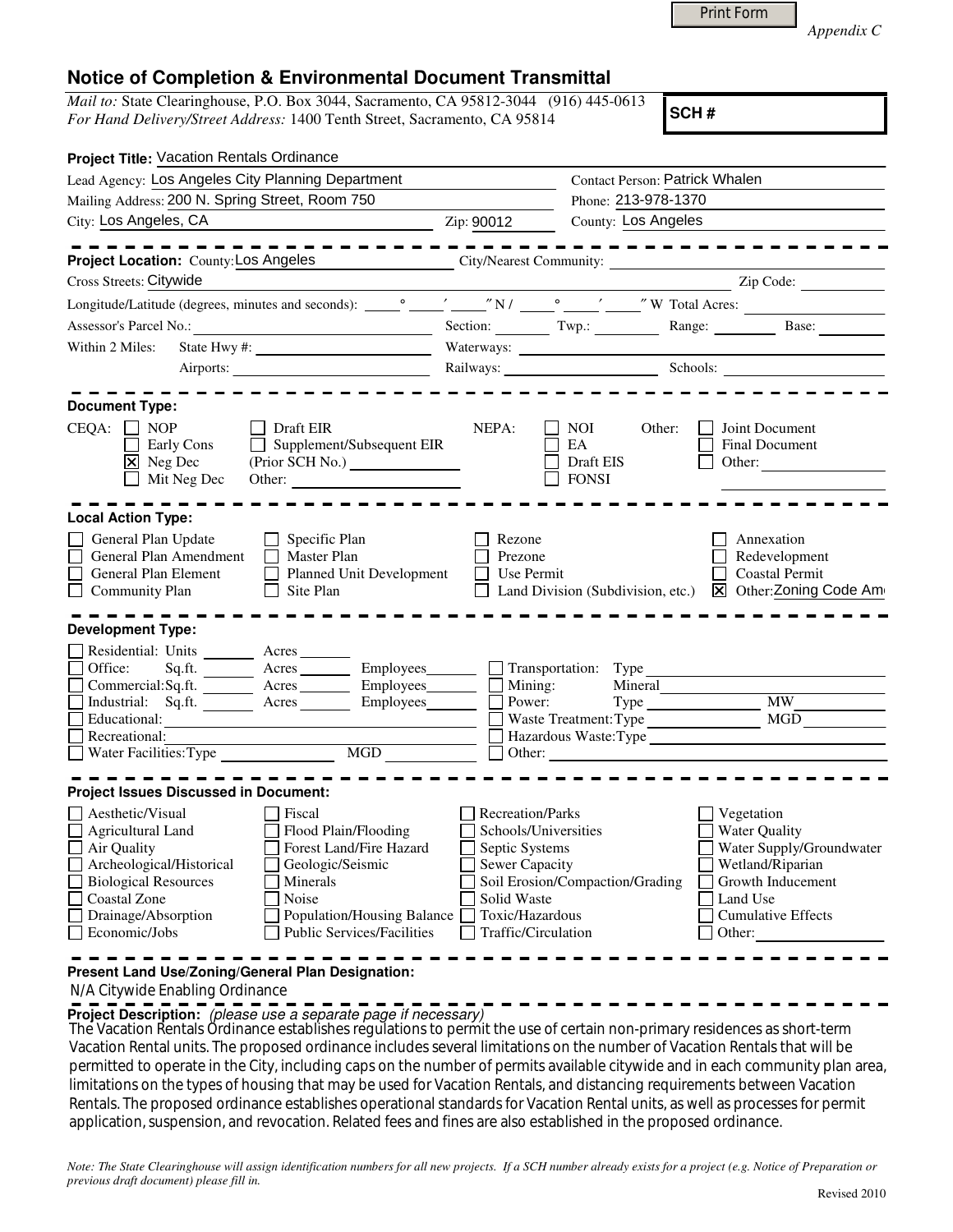|  | <b>Print Form</b> |
|--|-------------------|
|  |                   |

*Appendix C* 

## **Notice of Completion & Environmental Document Transmittal**

*Mail to:* State Clearinghouse, P.O. Box 3044, Sacramento, CA 95812-3044 (916) 445-0613 *For Hand Delivery/Street Address:* 1400 Tenth Street, Sacramento, CA 95814

**SCH #**

| <b>Project Title: Vacation Rentals Ordinance</b>          |                                            |                                   |                                       |  |
|-----------------------------------------------------------|--------------------------------------------|-----------------------------------|---------------------------------------|--|
| Lead Agency: Los Angeles City Planning Department         |                                            |                                   | <b>Contact Person: Patrick Whalen</b> |  |
| Mailing Address: 200 N. Spring Street, Room 750           |                                            | Phone: 213-978-1370               |                                       |  |
| City: Los Angeles, CA<br>$\frac{1}{2}$ Zip: 90012         |                                            | County: Los Angeles               |                                       |  |
|                                                           |                                            |                                   | ---------------                       |  |
| Project Location: County: Los Angeles                     | City/Nearest Community:                    |                                   |                                       |  |
| Cross Streets: Citywide                                   |                                            |                                   | Zip Code:                             |  |
|                                                           |                                            |                                   |                                       |  |
|                                                           |                                            |                                   | Section: Twp.: Range: Base: Base:     |  |
| Within 2 Miles:                                           |                                            |                                   |                                       |  |
|                                                           |                                            |                                   | Railways: Schools: Schools:           |  |
|                                                           |                                            |                                   |                                       |  |
| <b>Document Type:</b>                                     |                                            |                                   |                                       |  |
| Draft EIR<br>CEQA:<br>$\Box$ NOP                          | NEPA:                                      | NOI.<br>Other:                    | Joint Document                        |  |
| Supplement/Subsequent EIR<br>Early Cons                   |                                            | EA                                | <b>Final Document</b>                 |  |
| $\boxed{\mathsf{X}}$ Neg Dec                              |                                            | Draft EIS                         | Other:                                |  |
| Mit Neg Dec<br>Other:                                     |                                            | <b>FONSI</b>                      |                                       |  |
|                                                           |                                            |                                   |                                       |  |
| <b>Local Action Type:</b>                                 |                                            |                                   |                                       |  |
| General Plan Update<br>Specific Plan                      | Rezone                                     |                                   | Annexation                            |  |
| General Plan Amendment<br>$\Box$<br>Master Plan           | Prezone                                    |                                   | Redevelopment                         |  |
| General Plan Element<br>Planned Unit Development          | Use Permit                                 |                                   | <b>Coastal Permit</b>                 |  |
| <b>Community Plan</b><br>Site Plan                        |                                            | Land Division (Subdivision, etc.) | X Other: Zoning Code Am               |  |
|                                                           |                                            |                                   |                                       |  |
| <b>Development Type:</b>                                  |                                            |                                   |                                       |  |
| Residential: Units _______<br>Acres                       |                                            |                                   |                                       |  |
| $\Box$<br>Office:<br>Acres<br>Sq.fit.                     | Employees_______<br>$\Box$ Transportation: | Type                              |                                       |  |
| Commercial:Sq.ft. <u>Acres</u> Acres Employees            | Mining:                                    | Mineral                           |                                       |  |
| $\Box$<br>Industrial: Sq.ft. Acres Employees              | Power:                                     |                                   | $\overline{MW}$                       |  |
| Educational:                                              |                                            | Waste Treatment: Type             | MGD                                   |  |
| $\Box$<br>Hazardous Waste:Type<br>Recreational:           |                                            |                                   |                                       |  |
| Water Facilities: Type MGD                                |                                            |                                   |                                       |  |
| <b>Project Issues Discussed in Document:</b>              |                                            |                                   |                                       |  |
| Aesthetic/Visual<br>Fiscal                                | Recreation/Parks                           |                                   | Vegetation                            |  |
| Agricultural Land<br>Flood Plain/Flooding                 | Schools/Universities                       |                                   | <b>Water Quality</b>                  |  |
| Forest Land/Fire Hazard<br>Air Quality                    | Septic Systems                             |                                   | Water Supply/Groundwater              |  |
| Archeological/Historical<br>Geologic/Seismic              | Sewer Capacity                             |                                   | Wetland/Riparian                      |  |
| <b>Biological Resources</b><br>Minerals                   |                                            | Soil Erosion/Compaction/Grading   | Growth Inducement                     |  |
| Coastal Zone<br>Noise                                     | Solid Waste                                |                                   | Land Use                              |  |
| Drainage/Absorption<br>Population/Housing Balance         | Toxic/Hazardous                            |                                   | <b>Cumulative Effects</b>             |  |
| $\Box$ Economic/Jobs<br><b>Public Services/Facilities</b> | Traffic/Circulation                        |                                   | Other:                                |  |
|                                                           |                                            |                                   |                                       |  |
| Present Land Use/Zoning/General Plan Designation:         |                                            |                                   |                                       |  |

N/A Citywide Enabling Ordinance

**Project Description:** (please use a separate page if necessary)

 The Vacation Rentals Ordinance establishes regulations to permit the use of certain non-primary residences as short-term Vacation Rental units. The proposed ordinance includes several limitations on the number of Vacation Rentals that will be permitted to operate in the City, including caps on the number of permits available citywide and in each community plan area, limitations on the types of housing that may be used for Vacation Rentals, and distancing requirements between Vacation Rentals. The proposed ordinance establishes operational standards for Vacation Rental units, as well as processes for permit application, suspension, and revocation. Related fees and fines are also established in the proposed ordinance.

*Note: The State Clearinghouse will assign identification numbers for all new projects. If a SCH number already exists for a project (e.g. Notice of Preparation or previous draft document) please fill in.*